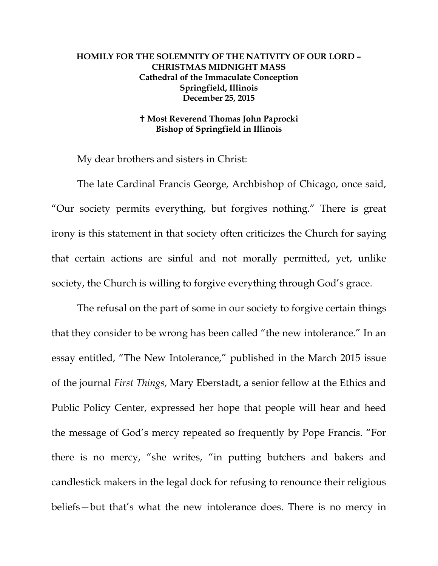## **HOMILY FOR THE SOLEMNITY OF THE NATIVITY OF OUR LORD – CHRISTMAS MIDNIGHT MASS Cathedral of the Immaculate Conception Springfield, Illinois December 25, 2015**

## **Most Reverend Thomas John Paprocki Bishop of Springfield in Illinois**

My dear brothers and sisters in Christ:

The late Cardinal Francis George, Archbishop of Chicago, once said, "Our society permits everything, but forgives nothing." There is great irony is this statement in that society often criticizes the Church for saying that certain actions are sinful and not morally permitted, yet, unlike society, the Church is willing to forgive everything through God's grace.

The refusal on the part of some in our society to forgive certain things that they consider to be wrong has been called "the new intolerance." In an essay entitled, "The New Intolerance," published in the March 2015 issue of the journal *First Things*, Mary Eberstadt, a senior fellow at the Ethics and Public Policy Center, expressed her hope that people will hear and heed the message of God's mercy repeated so frequently by Pope Francis. "For there is no mercy, "she writes, "in putting butchers and bakers and candlestick makers in the legal dock for refusing to renounce their religious beliefs—but that's what the new intolerance does. There is no mercy in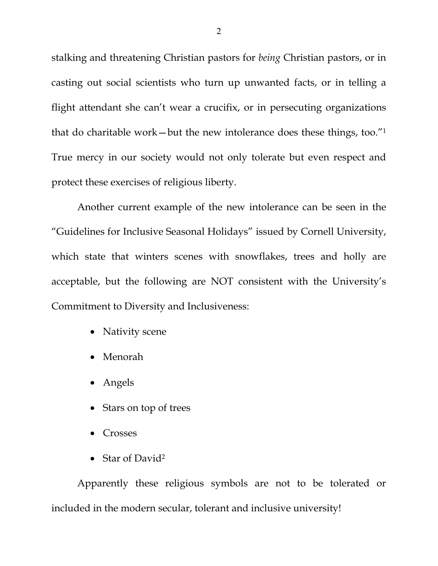stalking and threatening Christian pastors for *being* Christian pastors, or in casting out social scientists who turn up unwanted facts, or in telling a flight attendant she can't wear a crucifix, or in persecuting organizations that do charitable work—but the new intolerance does these things, too."1 True mercy in our society would not only tolerate but even respect and protect these exercises of religious liberty.

Another current example of the new intolerance can be seen in the "Guidelines for Inclusive Seasonal Holidays" issued by Cornell University, which state that winters scenes with snowflakes, trees and holly are acceptable, but the following are NOT consistent with the University's Commitment to Diversity and Inclusiveness:

- Nativity scene
- Menorah
- Angels
- Stars on top of trees
- Crosses
- Star of David<sup>2</sup>

Apparently these religious symbols are not to be tolerated or included in the modern secular, tolerant and inclusive university!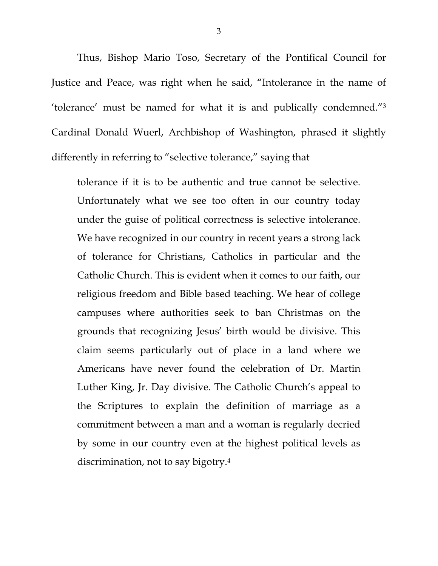Thus, Bishop Mario Toso, Secretary of the Pontifical Council for Justice and Peace, was right when he said, "Intolerance in the name of 'tolerance' must be named for what it is and publically condemned."3 Cardinal Donald Wuerl, Archbishop of Washington, phrased it slightly differently in referring to "selective tolerance," saying that

tolerance if it is to be authentic and true cannot be selective. Unfortunately what we see too often in our country today under the guise of political correctness is selective intolerance. We have recognized in our country in recent years a strong lack of tolerance for Christians, Catholics in particular and the Catholic Church. This is evident when it comes to our faith, our religious freedom and Bible based teaching. We hear of college campuses where authorities seek to ban Christmas on the grounds that recognizing Jesus' birth would be divisive. This claim seems particularly out of place in a land where we Americans have never found the celebration of Dr. Martin Luther King, Jr. Day divisive. The Catholic Church's appeal to the Scriptures to explain the definition of marriage as a commitment between a man and a woman is regularly decried by some in our country even at the highest political levels as discrimination, not to say bigotry.4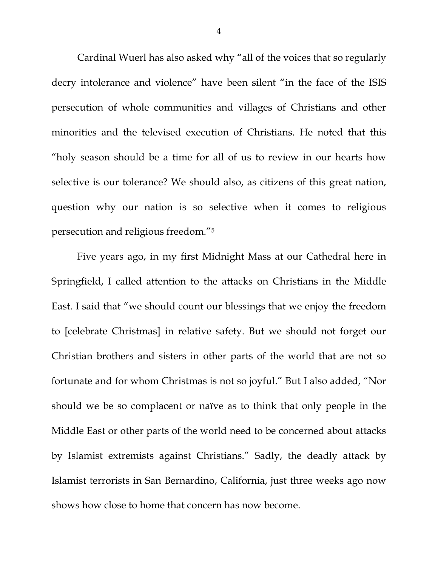Cardinal Wuerl has also asked why "all of the voices that so regularly decry intolerance and violence" have been silent "in the face of the ISIS persecution of whole communities and villages of Christians and other minorities and the televised execution of Christians. He noted that this "holy season should be a time for all of us to review in our hearts how selective is our tolerance? We should also, as citizens of this great nation, question why our nation is so selective when it comes to religious persecution and religious freedom."5

Five years ago, in my first Midnight Mass at our Cathedral here in Springfield, I called attention to the attacks on Christians in the Middle East. I said that "we should count our blessings that we enjoy the freedom to [celebrate Christmas] in relative safety. But we should not forget our Christian brothers and sisters in other parts of the world that are not so fortunate and for whom Christmas is not so joyful." But I also added, "Nor should we be so complacent or naïve as to think that only people in the Middle East or other parts of the world need to be concerned about attacks by Islamist extremists against Christians." Sadly, the deadly attack by Islamist terrorists in San Bernardino, California, just three weeks ago now shows how close to home that concern has now become.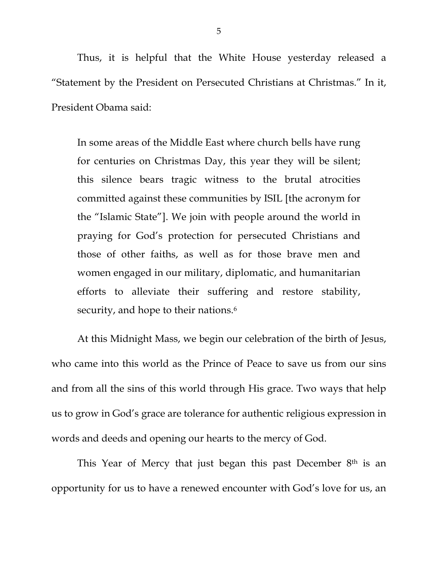Thus, it is helpful that the White House yesterday released a "Statement by the President on Persecuted Christians at Christmas." In it, President Obama said:

In some areas of the Middle East where church bells have rung for centuries on Christmas Day, this year they will be silent; this silence bears tragic witness to the brutal atrocities committed against these communities by ISIL [the acronym for the "Islamic State"]. We join with people around the world in praying for God's protection for persecuted Christians and those of other faiths, as well as for those brave men and women engaged in our military, diplomatic, and humanitarian efforts to alleviate their suffering and restore stability, security, and hope to their nations.<sup>6</sup>

At this Midnight Mass, we begin our celebration of the birth of Jesus, who came into this world as the Prince of Peace to save us from our sins and from all the sins of this world through His grace. Two ways that help us to grow in God's grace are tolerance for authentic religious expression in words and deeds and opening our hearts to the mercy of God.

This Year of Mercy that just began this past December 8<sup>th</sup> is an opportunity for us to have a renewed encounter with God's love for us, an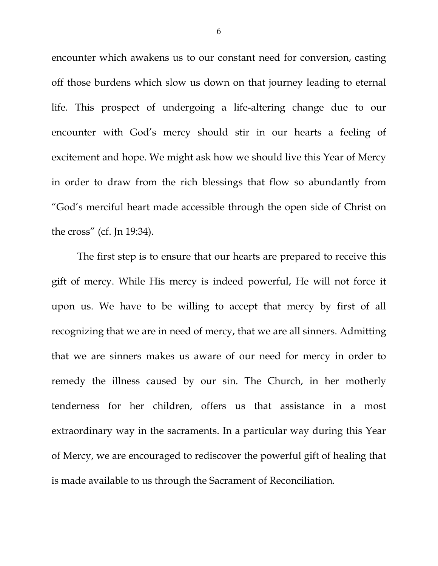encounter which awakens us to our constant need for conversion, casting off those burdens which slow us down on that journey leading to eternal life. This prospect of undergoing a life-altering change due to our encounter with God's mercy should stir in our hearts a feeling of excitement and hope. We might ask how we should live this Year of Mercy in order to draw from the rich blessings that flow so abundantly from "God's merciful heart made accessible through the open side of Christ on the cross" (cf. Jn 19:34).

The first step is to ensure that our hearts are prepared to receive this gift of mercy. While His mercy is indeed powerful, He will not force it upon us. We have to be willing to accept that mercy by first of all recognizing that we are in need of mercy, that we are all sinners. Admitting that we are sinners makes us aware of our need for mercy in order to remedy the illness caused by our sin. The Church, in her motherly tenderness for her children, offers us that assistance in a most extraordinary way in the sacraments. In a particular way during this Year of Mercy, we are encouraged to rediscover the powerful gift of healing that is made available to us through the Sacrament of Reconciliation.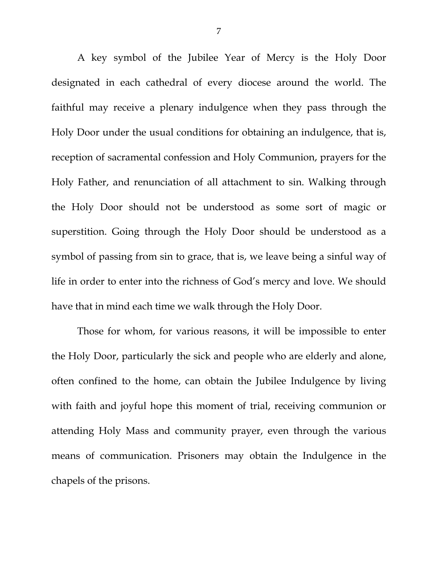A key symbol of the Jubilee Year of Mercy is the Holy Door designated in each cathedral of every diocese around the world. The faithful may receive a plenary indulgence when they pass through the Holy Door under the usual conditions for obtaining an indulgence, that is, reception of sacramental confession and Holy Communion, prayers for the Holy Father, and renunciation of all attachment to sin. Walking through the Holy Door should not be understood as some sort of magic or superstition. Going through the Holy Door should be understood as a symbol of passing from sin to grace, that is, we leave being a sinful way of life in order to enter into the richness of God's mercy and love. We should have that in mind each time we walk through the Holy Door.

Those for whom, for various reasons, it will be impossible to enter the Holy Door, particularly the sick and people who are elderly and alone, often confined to the home, can obtain the Jubilee Indulgence by living with faith and joyful hope this moment of trial, receiving communion or attending Holy Mass and community prayer, even through the various means of communication. Prisoners may obtain the Indulgence in the chapels of the prisons.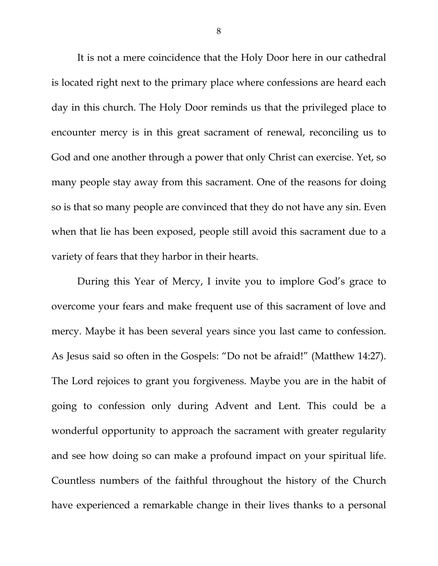It is not a mere coincidence that the Holy Door here in our cathedral is located right next to the primary place where confessions are heard each day in this church. The Holy Door reminds us that the privileged place to encounter mercy is in this great sacrament of renewal, reconciling us to God and one another through a power that only Christ can exercise. Yet, so many people stay away from this sacrament. One of the reasons for doing so is that so many people are convinced that they do not have any sin. Even when that lie has been exposed, people still avoid this sacrament due to a variety of fears that they harbor in their hearts.

During this Year of Mercy, I invite you to implore God's grace to overcome your fears and make frequent use of this sacrament of love and mercy. Maybe it has been several years since you last came to confession. As Jesus said so often in the Gospels: "Do not be afraid!" (Matthew 14:27). The Lord rejoices to grant you forgiveness. Maybe you are in the habit of going to confession only during Advent and Lent. This could be a wonderful opportunity to approach the sacrament with greater regularity and see how doing so can make a profound impact on your spiritual life. Countless numbers of the faithful throughout the history of the Church have experienced a remarkable change in their lives thanks to a personal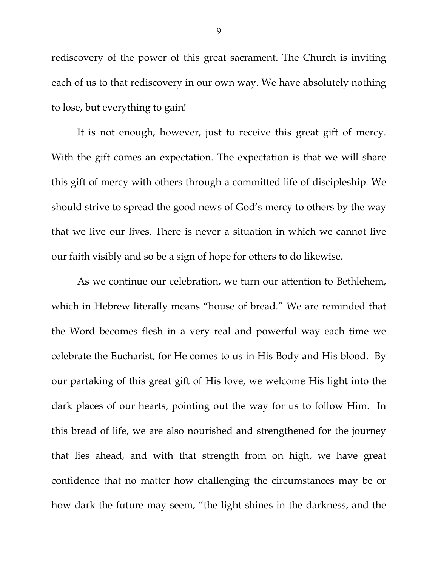rediscovery of the power of this great sacrament. The Church is inviting each of us to that rediscovery in our own way. We have absolutely nothing to lose, but everything to gain!

It is not enough, however, just to receive this great gift of mercy. With the gift comes an expectation. The expectation is that we will share this gift of mercy with others through a committed life of discipleship. We should strive to spread the good news of God's mercy to others by the way that we live our lives. There is never a situation in which we cannot live our faith visibly and so be a sign of hope for others to do likewise.

As we continue our celebration, we turn our attention to Bethlehem, which in Hebrew literally means "house of bread." We are reminded that the Word becomes flesh in a very real and powerful way each time we celebrate the Eucharist, for He comes to us in His Body and His blood. By our partaking of this great gift of His love, we welcome His light into the dark places of our hearts, pointing out the way for us to follow Him. In this bread of life, we are also nourished and strengthened for the journey that lies ahead, and with that strength from on high, we have great confidence that no matter how challenging the circumstances may be or how dark the future may seem, "the light shines in the darkness, and the